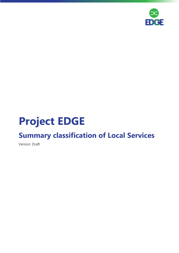

## **Project EDGE**

### **Summary classification of Local Services**

Version: Draft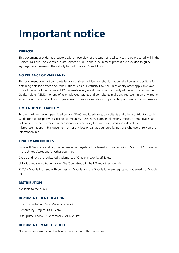# **Important notice**

#### **PURPOSE**

This document provides aggregators with an overview of the types of local services to be procured within the Project EDGE trial. An example (draft) service attribute and procurement process are provided to guide aggregators in assessing their ability to participate in Project EDGE.

#### **NO RELIANCE OR WARRANTY**

This document does not constitute legal or business advice, and should not be relied on as a substitute for obtaining detailed advice about the National Gas or Electricity Law, the Rules or any other applicable laws, procedures or policies. While AEMO has made every effort to ensure the quality of the information in this Guide, neither AEMO, nor any of its employees, agents and consultants make any representation or warranty as to the accuracy, reliability, completeness, currency or suitability for particular purposes of that information.

#### **LIMITATION OF LIABILITY**

To the maximum extent permitted by law, AEMO and its advisers, consultants and other contributors to this Guide (or their respective associated companies, businesses, partners, directors, officers or employees) are not liable (whether by reason of negligence or otherwise) for any errors, omissions, defects or misrepresentations in this document, or for any loss or damage suffered by persons who use or rely on the information in it.

#### **TRADEMARK NOTICES**

Microsoft, Windows and SQL Server are either registered trademarks or trademarks of Microsoft Corporation in the United States and/or other countries.

Oracle and Java are registered trademarks of Oracle and/or its affiliates.

UNIX is a registered trademark of The Open Group in the US and other countries.

© 2015 Google Inc, used with permission. Google and the Google logo are registered trademarks of Google Inc.

#### **DISTRIBUTION**

Available to the public.

#### **DOCUMENT IDENTIFICATION**

Business Custodian: New Markets Services Prepared by: Project EDGE Team Last update: Friday, 17 December 2021 12:28 PM

#### **DOCUMENTS MADE OBSOLETE**

No documents are made obsolete by publication of this document.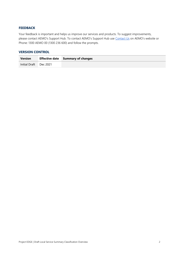#### **FEEDBACK**

Your feedback is important and helps us improve our services and products. To suggest improvements, please contact AEMO's Support Hub. To contact AEMO's Support Hub use [Contact Us](http://aemo.com.au/Contact-us) on AEMO's website or Phone: 1300 AEMO 00 (1300 236 600) and follow the prompts.

#### **VERSION CONTROL**

| <b>Version</b>         | <b>Effective date</b> Summary of changes |
|------------------------|------------------------------------------|
| Initial Draft Dec 2021 |                                          |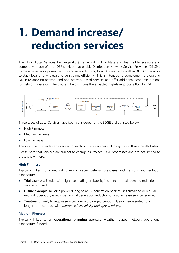# **1. Demand increase/ reduction services**

The EDGE Local Services Exchange (LSE) framework will facilitate and trial visible, scalable and competitive trade of local DER services that enable Distribution Network Service Providers (DNSPs) to manage network power security and reliability using local DER and in turn allow DER Aggregators to stack local and wholesale value streams efficiently. This is intended to complement the existing DNSP reliance on network and non-network based services and offer additional economic options for network operators. The diagram below shows the expected high-level process flow for LSE:



Three types of Local Services have been considered for the EDGE trial as listed below:

- **High Firmness**
- Medium Firmness
- Low Firmness

This document provides an overview of each of these services including the draft service attributes.

Please note that services are subject to change as Project EDGE progresses and are not limited to those shown here.

#### **High Firmness**

Typically linked to a network planning capex deferral use-cases and network augmentation expenditure.

- **Trial example:** Feeder with high overloading probability/incidence peak demand reduction service required.
- **Future example:** Reverse power during solar PV generation peak causes sustained or regular network operation/asset issues – local generation reduction or load increase service required.
- **Treatment:** Likely to require services over a prolonged period (>1year), hence suited to a longer-term contract with *guaranteed availability and agreed pricing.*

#### **Medium Firmness**

Typically linked to an **operational planning** use-case, weather related, network operational expenditure funded.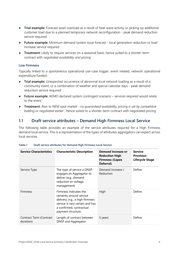- **Trial example:** Forecast asset overload as a result of heat wave activity or picking up additional customer load due to a planned temporary network reconfiguration - peak demand reduction service required
- **Future example:** Minimum demand system issue forecast local generation reduction or load increase service required
- **Treatment:** Likely to require services on a seasonal basis, hence suited to a shorter-term contract with *negotiated availability and pricing*

#### **Low Firmness**

Typically linked to a spontaneous operational use-case trigger, event related, network operational expenditure funded.

- **Trial example:** Unexpected occurrence of abnormal local network loading as a result of a community event, or a combination of weather and special calendar days - peak demand reduction service required
- **Future example:** AEMO declared system contingent scenario services required would relate to the event
- **Treatment:** Akin to NEM spot market *no guaranteed availability, pricing is set by competitive bidding or negotiated earlier* , hence suited to a shorter-term contract with negotiated pricing

### **1.1 Draft service attributes – Demand High Firmness Local Service**

The following table provides an example of the service attributes required for a High Firmness demand local service. This is a representation of the types of attributes aggregators can expect across local services.

| <b>Service Characteristics</b>       | <b>Characteristic Description</b>                                                                                                                                         | <b>Demand Increase or</b><br><b>Reduction High</b><br><b>Firmness (Capex</b><br>Deferral) | <b>Service</b><br><b>Provision</b><br><b>Lifecycle Stage</b> |
|--------------------------------------|---------------------------------------------------------------------------------------------------------------------------------------------------------------------------|-------------------------------------------------------------------------------------------|--------------------------------------------------------------|
| Service Type                         | The type of service a DNSP<br>engages an Aggregator to<br>deliver (e.g., demand<br>reduction or voltage<br>management)                                                    | Demand Increase /<br>Reduction                                                            | Define                                                       |
| <b>Firmness</b>                      | Firmness indicates the<br>certainty around service<br>delivery, e.g., a high firmness<br>service is very certain and has<br>a confirmed, contractual<br>payment structure | High                                                                                      | Define                                                       |
| Contract Term (Contract<br>duration) | Length of contract between<br>DNSP and Aggregator                                                                                                                         | 5 years                                                                                   | Define                                                       |

#### **Table 1 Draft service attributes for Demand High Firmness Local Service**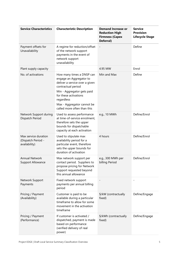| <b>Service Characteristics</b>                              | <b>Characteristic Description</b>                                                                                                                 | <b>Demand Increase or</b><br><b>Reduction High</b><br><b>Firmness (Capex</b><br>Deferral) | <b>Service</b><br><b>Provision</b><br><b>Lifecycle Stage</b> |
|-------------------------------------------------------------|---------------------------------------------------------------------------------------------------------------------------------------------------|-------------------------------------------------------------------------------------------|--------------------------------------------------------------|
| Payment offsets for<br>Unavailability                       | A regime for reduction/offset<br>of the network support<br>payments in the event of<br>network support<br>unavailability                          |                                                                                           | Define                                                       |
| Plant supply capacity                                       |                                                                                                                                                   | 4.95 MW                                                                                   | Enrol                                                        |
| No. of activations                                          | How many times a DNSP can<br>engage an Aggregator to<br>deliver a service over a given<br>contractual period                                      | Min and Max                                                                               | Define                                                       |
|                                                             | Min - Aggregator gets paid<br>for these activations<br>regardless<br>Max - Aggregator cannot be<br>called more often than this                    |                                                                                           |                                                              |
| Network Support during<br>Dispatch Period                   | Used to assess performance<br>at time-of-service enrolment,<br>therefore sets the upper<br>bounds for dispatchable<br>capacity at each activation | e.g., 10 MWh                                                                              | Define/Enrol                                                 |
| Max service duration<br>(Dispatch Period -<br>availability) | Used to stipulate max<br>availability period for a<br>particular event, therefore<br>sets the upper bounds for<br>duration of activation          | 4 hours                                                                                   | Define/Enrol                                                 |
| <b>Annual Network</b><br><b>Support Allowance</b>           | Max network support per<br>contact period. Suppliers to<br>propose pricing for Network<br>Support requested beyond<br>this annual allowance       | e.g., 300 MWh per<br>billing Period                                                       | Define/Enrol                                                 |
| Network Support<br>Payments                                 | Fixed network support<br>payments per annual billing<br>period                                                                                    |                                                                                           |                                                              |
| Pricing / Payment<br>(Availability)                         | Customer is paid to be<br>available during a particular<br>timeframe to allow for some<br>movement in the activation<br>timeframe                 | \$/kW (contractually<br>fixed)                                                            | Define/Engage                                                |
| Pricing / Payment<br>(Performance)                          | If customer is activated /<br>dispatched, payment is made<br>based on performance<br>(verified delivery of real<br>power)                         | \$/kWh (contractually<br>fixed)                                                           | Define/Engage                                                |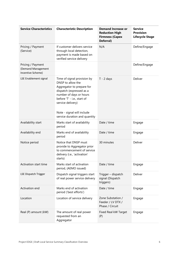| <b>Service Characteristics</b>                               | <b>Characteristic Description</b>                                                                                                                                                                                                                       | <b>Demand Increase or</b><br><b>Reduction High</b><br><b>Firmness (Capex</b><br>Deferral) | <b>Service</b><br><b>Provision</b><br><b>Lifecycle Stage</b> |
|--------------------------------------------------------------|---------------------------------------------------------------------------------------------------------------------------------------------------------------------------------------------------------------------------------------------------------|-------------------------------------------------------------------------------------------|--------------------------------------------------------------|
| Pricing / Payment<br>(Service)                               | If customer delivers service<br>through local detection,<br>payment is made based on<br>verified service delivery                                                                                                                                       | N/A                                                                                       | Define/Engage                                                |
| Pricing / Payment<br>(Demand Management<br>Incentive Scheme) |                                                                                                                                                                                                                                                         |                                                                                           | Define/Engage                                                |
| LSE Enablement signal                                        | Time of signal provision by<br>DNSP to allow the<br>Aggregator to prepare for<br>dispatch (expressed as a<br>number of days or hours<br>before 'T' - i.e., start of<br>service delivery)<br>Note - signal will include<br>service duration and quantity | $T - 2$ days                                                                              | Deliver                                                      |
| Availability start                                           | Marks start of availability<br>period                                                                                                                                                                                                                   | Date / time                                                                               | Engage                                                       |
| Availability end                                             | Marks end of availability<br>period                                                                                                                                                                                                                     | Date / time                                                                               | Engage                                                       |
| Notice period                                                | Notice that DNSP must<br>provide to Aggregator prior<br>to commencement of service<br>delivery (i.e., 'activation'<br>starts)                                                                                                                           | 30 minutes                                                                                | Deliver                                                      |
| Activation start time                                        | Marks start of activation<br>period, (AEMO issued)                                                                                                                                                                                                      | Date / time                                                                               | Engage                                                       |
| <b>LSE Dispatch Trigger</b>                                  | Dispatch signal triggers start<br>of real power service delivery                                                                                                                                                                                        | Trigger - dispatch<br>signal (Dispatch<br>triggers)                                       | Deliver                                                      |
| Activation end                                               | Marks end of activation<br>period ('best efforts')                                                                                                                                                                                                      | Date / time                                                                               | Engage                                                       |
| Location                                                     | Location of service delivery                                                                                                                                                                                                                            | Zone Substation /<br>Feeder / LV DTX /<br>Phase / Circuit                                 | Engage                                                       |
| Real (P) amount (kW)                                         | The amount of real power<br>requested from an<br>Aggregator                                                                                                                                                                                             | Fixed Real kW Target<br>(P)                                                               | Engage                                                       |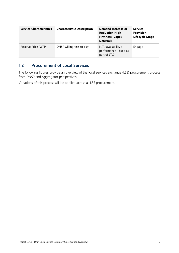| <b>Service Characteristics</b> | <b>Characteristic Description</b> | <b>Demand Increase or</b><br><b>Reduction High</b><br><b>Firmness (Capex</b><br>Deferral) | <b>Service</b><br><b>Provision</b><br><b>Lifecycle Stage</b> |
|--------------------------------|-----------------------------------|-------------------------------------------------------------------------------------------|--------------------------------------------------------------|
| Reserve Price (WTP)            | DNSP willingness to pay           | N/A (availability /<br>performance - fixed as<br>part of LTC)                             | Engage                                                       |

### **1.2 Procurement of Local Services**

The following figures provide an overview of the local services exchange (LSE) procurement process from DNSP and Aggregator perspectives.

Variations of this process will be applied across all LSE procurement.